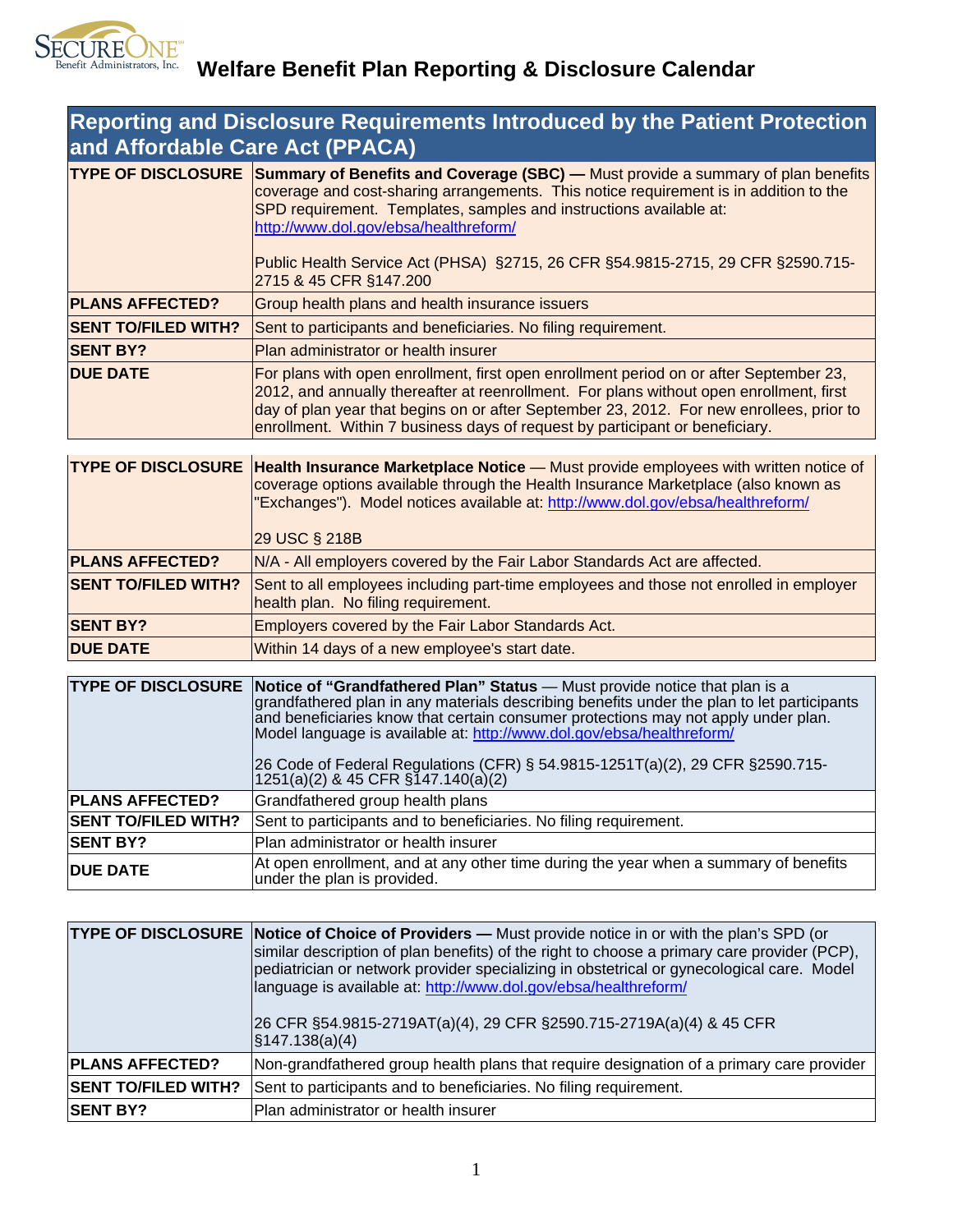

| <b>Reporting and Disclosure Requirements Introduced by the Patient Protection</b><br>and Affordable Care Act (PPACA) |                                                                                                                                                                                                                                                                                                                                                                                                                                 |  |
|----------------------------------------------------------------------------------------------------------------------|---------------------------------------------------------------------------------------------------------------------------------------------------------------------------------------------------------------------------------------------------------------------------------------------------------------------------------------------------------------------------------------------------------------------------------|--|
|                                                                                                                      | <b>TYPE OF DISCLOSURE Summary of Benefits and Coverage (SBC)</b> — Must provide a summary of plan benefits<br>coverage and cost-sharing arrangements. This notice requirement is in addition to the<br>SPD requirement. Templates, samples and instructions available at:<br>http://www.dol.gov/ebsa/healthreform/<br>Public Health Service Act (PHSA) §2715, 26 CFR §54.9815-2715, 29 CFR §2590.715-<br>2715 & 45 CFR §147.200 |  |
| <b>PLANS AFFECTED?</b>                                                                                               | Group health plans and health insurance issuers                                                                                                                                                                                                                                                                                                                                                                                 |  |
| <b>SENT TO/FILED WITH?</b>                                                                                           | Sent to participants and beneficiaries. No filing requirement.                                                                                                                                                                                                                                                                                                                                                                  |  |
| <b>SENT BY?</b>                                                                                                      | Plan administrator or health insurer                                                                                                                                                                                                                                                                                                                                                                                            |  |
| <b>DUE DATE</b>                                                                                                      | For plans with open enrollment, first open enrollment period on or after September 23,<br>2012, and annually thereafter at reenrollment. For plans without open enrollment, first<br>day of plan year that begins on or after September 23, 2012. For new enrollees, prior to<br>enrollment. Within 7 business days of request by participant or beneficiary.                                                                   |  |

|                            | <b>TYPE OF DISCLOSURE Health Insurance Marketplace Notice</b> — Must provide employees with written notice of<br>coverage options available through the Health Insurance Marketplace (also known as<br>"Exchanges"). Model notices available at: http://www.dol.gov/ebsa/healthreform/<br>29 USC § 218B |
|----------------------------|---------------------------------------------------------------------------------------------------------------------------------------------------------------------------------------------------------------------------------------------------------------------------------------------------------|
| <b>PLANS AFFECTED?</b>     | N/A - All employers covered by the Fair Labor Standards Act are affected.                                                                                                                                                                                                                               |
| <b>SENT TO/FILED WITH?</b> | Sent to all employees including part-time employees and those not enrolled in employer<br>health plan. No filing requirement.                                                                                                                                                                           |
| <b>SENT BY?</b>            | Employers covered by the Fair Labor Standards Act.                                                                                                                                                                                                                                                      |
| <b>DUE DATE</b>            | Within 14 days of a new employee's start date.                                                                                                                                                                                                                                                          |

|                            | <b>TYPE OF DISCLOSURE Notice of "Grandfathered Plan" Status</b> - Must provide notice that plan is a<br>grandfathered plan in any materials describing benefits under the plan to let participants<br>and beneficiaries know that certain consumer protections may not apply under plan.<br>Model language is available at: http://www.dol.gov/ebsa/healthreform/<br>26 Code of Federal Regulations (CFR) § 54.9815-1251T(a)(2), 29 CFR § 2590.715-<br>1251(a)(2) & 45 CFR §147.140(a)(2) |
|----------------------------|-------------------------------------------------------------------------------------------------------------------------------------------------------------------------------------------------------------------------------------------------------------------------------------------------------------------------------------------------------------------------------------------------------------------------------------------------------------------------------------------|
| <b>PLANS AFFECTED?</b>     | Grandfathered group health plans                                                                                                                                                                                                                                                                                                                                                                                                                                                          |
| <b>SENT TO/FILED WITH?</b> | Sent to participants and to beneficiaries. No filing requirement.                                                                                                                                                                                                                                                                                                                                                                                                                         |
| <b>SENT BY?</b>            | Plan administrator or health insurer                                                                                                                                                                                                                                                                                                                                                                                                                                                      |
| <b>DUE DATE</b>            | At open enrollment, and at any other time during the year when a summary of benefits<br>under the plan is provided.                                                                                                                                                                                                                                                                                                                                                                       |

|                            | TYPE OF DISCLOSURE Notice of Choice of Providers - Must provide notice in or with the plan's SPD (or<br>similar description of plan benefits) of the right to choose a primary care provider (PCP),<br>pediatrician or network provider specializing in obstetrical or gynecological care. Model<br>language is available at: http://www.dol.gov/ebsa/healthreform/<br>26 CFR §54.9815-2719AT(a)(4), 29 CFR §2590.715-2719A(a)(4) & 45 CFR<br>$\sqrt{\$147.138(a)(4)}$ |  |
|----------------------------|------------------------------------------------------------------------------------------------------------------------------------------------------------------------------------------------------------------------------------------------------------------------------------------------------------------------------------------------------------------------------------------------------------------------------------------------------------------------|--|
| <b>PLANS AFFECTED?</b>     | Non-grandfathered group health plans that require designation of a primary care provider                                                                                                                                                                                                                                                                                                                                                                               |  |
| <b>SENT TO/FILED WITH?</b> | Sent to participants and to beneficiaries. No filing requirement.                                                                                                                                                                                                                                                                                                                                                                                                      |  |
| <b>SENT BY?</b>            | Plan administrator or health insurer                                                                                                                                                                                                                                                                                                                                                                                                                                   |  |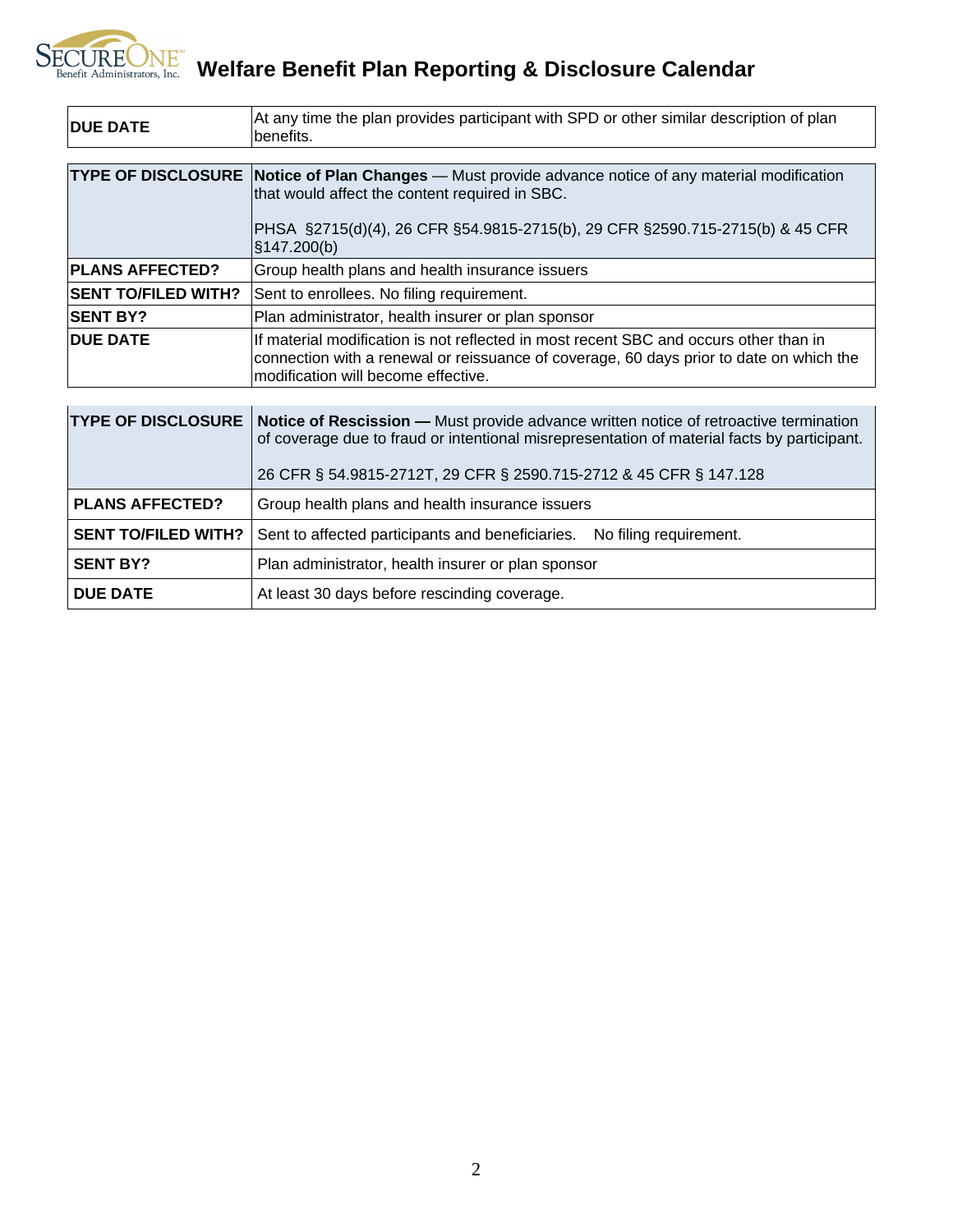## **SECUREONE** Welfare Benefit Plan Reporting & Disclosure Calendar

| <b>IDUE DATE</b>           | At any time the plan provides participant with SPD or other similar description of plan<br>benefits.                                                                                                                    |  |
|----------------------------|-------------------------------------------------------------------------------------------------------------------------------------------------------------------------------------------------------------------------|--|
|                            |                                                                                                                                                                                                                         |  |
|                            | <b>TYPE OF DISCLOSURE Notice of Plan Changes</b> - Must provide advance notice of any material modification<br>that would affect the content required in SBC.                                                           |  |
|                            | PHSA §2715(d)(4), 26 CFR §54.9815-2715(b), 29 CFR §2590.715-2715(b) & 45 CFR<br>$\frac{1}{3}$ 147.200(b)                                                                                                                |  |
| <b>PLANS AFFECTED?</b>     | Group health plans and health insurance issuers                                                                                                                                                                         |  |
| <b>SENT TO/FILED WITH?</b> | Sent to enrollees. No filing requirement.                                                                                                                                                                               |  |
| <b>SENT BY?</b>            | Plan administrator, health insurer or plan sponsor                                                                                                                                                                      |  |
| <b>IDUE DATE</b>           | If material modification is not reflected in most recent SBC and occurs other than in<br>connection with a renewal or reissuance of coverage, 60 days prior to date on which the<br>modification will become effective. |  |
|                            |                                                                                                                                                                                                                         |  |
| <b>TYPE OF DISCLOSURE</b>  | <b>Notice of Rescission - Must provide advance written notice of retroactive termination</b><br>of coverage due to fraud or intentional misrepresentation of material facts by participant.                             |  |
|                            | 26 CFR § 54.9815-2712T, 29 CFR § 2590.715-2712 & 45 CFR § 147.128                                                                                                                                                       |  |
| <b>PLANS AFFECTED?</b>     | Group health plans and health insurance issuers                                                                                                                                                                         |  |

|                 | <b>SENT TO/FILED WITH?</b> Sent to affected participants and beneficiaries. No filing requirement. |  |
|-----------------|----------------------------------------------------------------------------------------------------|--|
| <b>SENT BY?</b> | Plan administrator, health insurer or plan sponsor                                                 |  |

**DUE DATE** At least 30 days before rescinding coverage.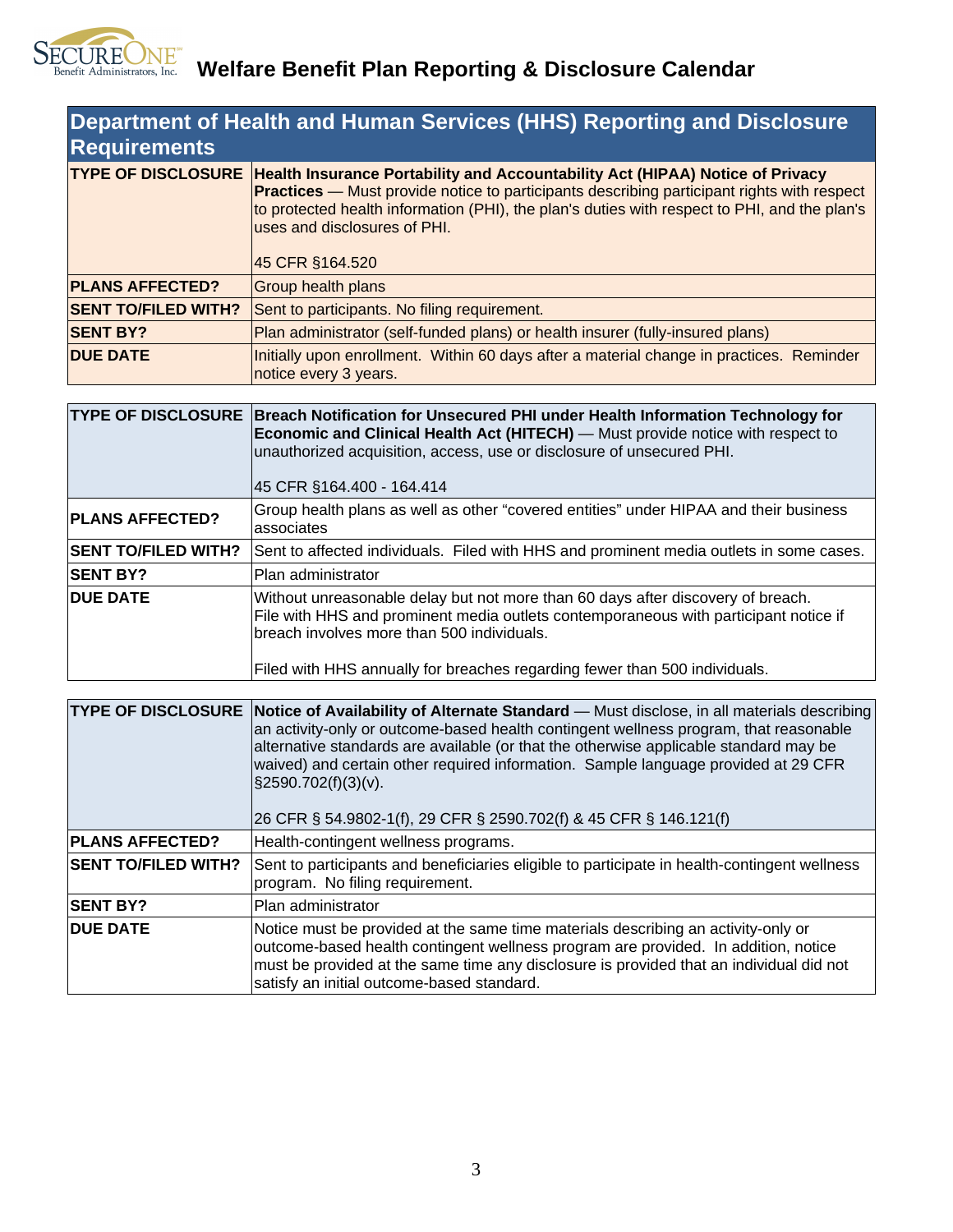

| <b>Department of Health and Human Services (HHS) Reporting and Disclosure</b><br><b>Requirements</b> |                                                                                                                                                                                                                                                                                                                                        |  |
|------------------------------------------------------------------------------------------------------|----------------------------------------------------------------------------------------------------------------------------------------------------------------------------------------------------------------------------------------------------------------------------------------------------------------------------------------|--|
| <b>TYPE OF DISCLOSURE</b>                                                                            | Health Insurance Portability and Accountability Act (HIPAA) Notice of Privacy<br><b>Practices</b> — Must provide notice to participants describing participant rights with respect<br>to protected health information (PHI), the plan's duties with respect to PHI, and the plan's<br>luses and disclosures of PHI.<br>45 CFR §164.520 |  |
|                                                                                                      |                                                                                                                                                                                                                                                                                                                                        |  |
| <b>PLANS AFFECTED?</b>                                                                               | Group health plans                                                                                                                                                                                                                                                                                                                     |  |
| <b>SENT TO/FILED WITH?</b>                                                                           | Sent to participants. No filing requirement.                                                                                                                                                                                                                                                                                           |  |
| <b>SENT BY?</b>                                                                                      | Plan administrator (self-funded plans) or health insurer (fully-insured plans)                                                                                                                                                                                                                                                         |  |
| <b>DUE DATE</b>                                                                                      | Initially upon enrollment. Within 60 days after a material change in practices. Reminder<br>notice every 3 years.                                                                                                                                                                                                                      |  |

|                            | TYPE OF DISCLOSURE Breach Notification for Unsecured PHI under Health Information Technology for<br><b>Economic and Clinical Health Act (HITECH)</b> — Must provide notice with respect to<br>unauthorized acquisition, access, use or disclosure of unsecured PHI.<br>45 CFR §164.400 - 164.414    |
|----------------------------|-----------------------------------------------------------------------------------------------------------------------------------------------------------------------------------------------------------------------------------------------------------------------------------------------------|
| <b>PLANS AFFECTED?</b>     | Group health plans as well as other "covered entities" under HIPAA and their business<br>lassociates                                                                                                                                                                                                |
| <b>SENT TO/FILED WITH?</b> | Sent to affected individuals. Filed with HHS and prominent media outlets in some cases.                                                                                                                                                                                                             |
| <b>SENT BY?</b>            | IPlan administrator                                                                                                                                                                                                                                                                                 |
| <b>DUE DATE</b>            | Without unreasonable delay but not more than 60 days after discovery of breach.<br>File with HHS and prominent media outlets contemporaneous with participant notice if<br>breach involves more than 500 individuals.<br>Filed with HHS annually for breaches regarding fewer than 500 individuals. |

| <b>TYPE OF DISCLOSURE</b>  | Notice of Availability of Alternate Standard – Must disclose, in all materials describing<br>an activity-only or outcome-based health contingent wellness program, that reasonable<br>alternative standards are available (or that the otherwise applicable standard may be<br>waived) and certain other required information. Sample language provided at 29 CFR<br>$\frac{1}{2}$ \$2590.702(f)(3)(v).<br>26 CFR § 54.9802-1(f), 29 CFR § 2590.702(f) & 45 CFR § 146.121(f) |
|----------------------------|------------------------------------------------------------------------------------------------------------------------------------------------------------------------------------------------------------------------------------------------------------------------------------------------------------------------------------------------------------------------------------------------------------------------------------------------------------------------------|
| <b>PLANS AFFECTED?</b>     | Health-contingent wellness programs.                                                                                                                                                                                                                                                                                                                                                                                                                                         |
| <b>SENT TO/FILED WITH?</b> | Sent to participants and beneficiaries eligible to participate in health-contingent wellness<br>program. No filing requirement.                                                                                                                                                                                                                                                                                                                                              |
| <b>SENT BY?</b>            | Plan administrator                                                                                                                                                                                                                                                                                                                                                                                                                                                           |
| <b>DUE DATE</b>            | Notice must be provided at the same time materials describing an activity-only or<br>outcome-based health contingent wellness program are provided. In addition, notice<br>must be provided at the same time any disclosure is provided that an individual did not<br>satisfy an initial outcome-based standard.                                                                                                                                                             |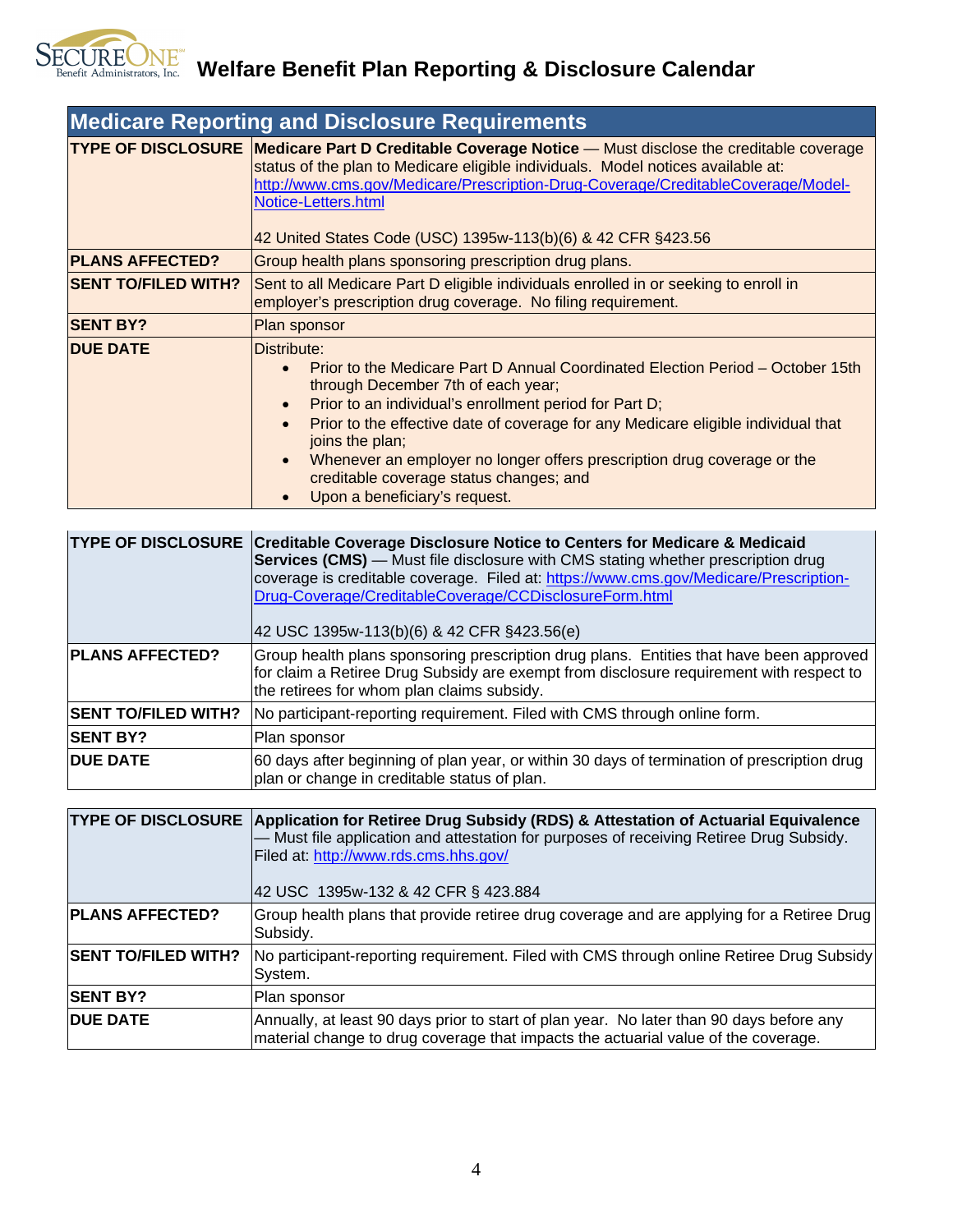

| <b>Medicare Reporting and Disclosure Requirements</b> |                                                                                                                                                                                                                                                                                                                                                                                                                                                              |
|-------------------------------------------------------|--------------------------------------------------------------------------------------------------------------------------------------------------------------------------------------------------------------------------------------------------------------------------------------------------------------------------------------------------------------------------------------------------------------------------------------------------------------|
|                                                       | <b>TYPE OF DISCLOSURE Medicare Part D Creditable Coverage Notice</b> - Must disclose the creditable coverage<br>status of the plan to Medicare eligible individuals. Model notices available at:<br>http://www.cms.gov/Medicare/Prescription-Drug-Coverage/CreditableCoverage/Model-<br>Notice-Letters.html<br>42 United States Code (USC) 1395w-113(b)(6) & 42 CFR §423.56                                                                                  |
| <b>PLANS AFFECTED?</b>                                | Group health plans sponsoring prescription drug plans.                                                                                                                                                                                                                                                                                                                                                                                                       |
| <b>SENT TO/FILED WITH?</b>                            | Sent to all Medicare Part D eligible individuals enrolled in or seeking to enroll in<br>employer's prescription drug coverage. No filing requirement.                                                                                                                                                                                                                                                                                                        |
| <b>SENT BY?</b>                                       | Plan sponsor                                                                                                                                                                                                                                                                                                                                                                                                                                                 |
| <b>DUE DATE</b>                                       | Distribute:<br>Prior to the Medicare Part D Annual Coordinated Election Period - October 15th<br>through December 7th of each year;<br>Prior to an individual's enrollment period for Part D;<br>Prior to the effective date of coverage for any Medicare eligible individual that<br>joins the plan;<br>Whenever an employer no longer offers prescription drug coverage or the<br>creditable coverage status changes; and<br>Upon a beneficiary's request. |

| <b>TYPE OF DISCLOSURE</b>  | <b>Creditable Coverage Disclosure Notice to Centers for Medicare &amp; Medicaid</b><br><b>Services (CMS)</b> — Must file disclosure with CMS stating whether prescription drug<br>coverage is creditable coverage. Filed at: https://www.cms.gov/Medicare/Prescription-<br>Drug-Coverage/CreditableCoverage/CCDisclosureForm.html<br>42 USC 1395w-113(b)(6) & 42 CFR §423.56(e) |
|----------------------------|---------------------------------------------------------------------------------------------------------------------------------------------------------------------------------------------------------------------------------------------------------------------------------------------------------------------------------------------------------------------------------|
| <b>PLANS AFFECTED?</b>     | Group health plans sponsoring prescription drug plans. Entities that have been approved<br>for claim a Retiree Drug Subsidy are exempt from disclosure requirement with respect to<br>the retirees for whom plan claims subsidy.                                                                                                                                                |
| <b>SENT TO/FILED WITH?</b> | No participant-reporting requirement. Filed with CMS through online form.                                                                                                                                                                                                                                                                                                       |
| <b>SENT BY?</b>            | Plan sponsor                                                                                                                                                                                                                                                                                                                                                                    |
| <b>DUE DATE</b>            | 60 days after beginning of plan year, or within 30 days of termination of prescription drug<br>plan or change in creditable status of plan.                                                                                                                                                                                                                                     |

| <b>TYPE OF DISCLOSURE</b>  | Application for Retiree Drug Subsidy (RDS) & Attestation of Actuarial Equivalence<br>- Must file application and attestation for purposes of receiving Retiree Drug Subsidy.<br>Filed at: http://www.rds.cms.hhs.gov/<br>42 USC 1395w-132 & 42 CFR § 423.884 |
|----------------------------|--------------------------------------------------------------------------------------------------------------------------------------------------------------------------------------------------------------------------------------------------------------|
| <b>PLANS AFFECTED?</b>     | Group health plans that provide retiree drug coverage and are applying for a Retiree Drug<br>Subsidy.                                                                                                                                                        |
| <b>SENT TO/FILED WITH?</b> | No participant-reporting requirement. Filed with CMS through online Retiree Drug Subsidy<br>System.                                                                                                                                                          |
| <b>SENT BY?</b>            | Plan sponsor                                                                                                                                                                                                                                                 |
| <b>DUE DATE</b>            | Annually, at least 90 days prior to start of plan year. No later than 90 days before any<br>material change to drug coverage that impacts the actuarial value of the coverage.                                                                               |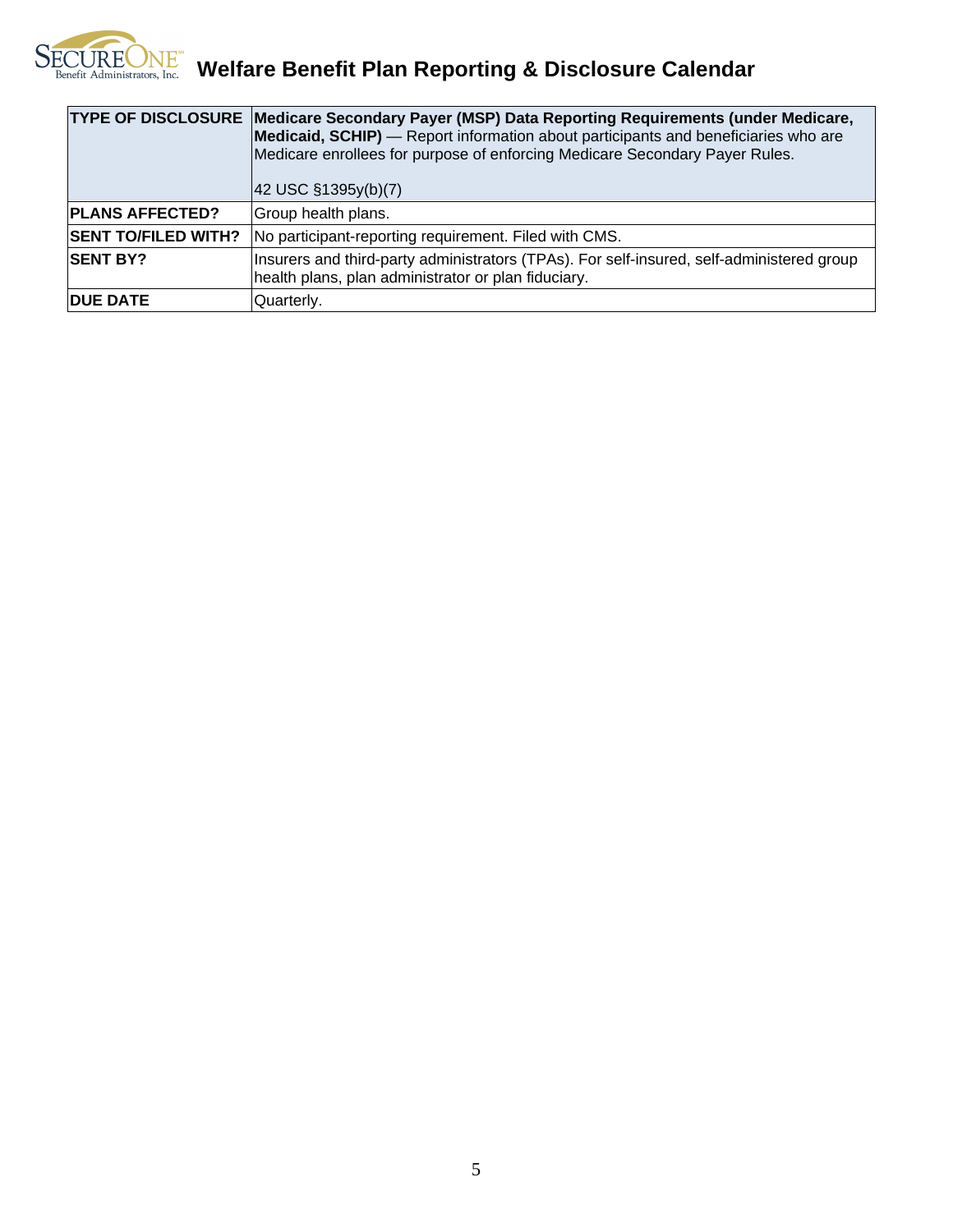

|                            | <b>TYPE OF DISCLOSURE Medicare Secondary Payer (MSP) Data Reporting Requirements (under Medicare,</b><br>Medicaid, SCHIP) — Report information about participants and beneficiaries who are<br>Medicare enrollees for purpose of enforcing Medicare Secondary Payer Rules.<br>$ 42 \text{ USC } \S 1395y(b)(7) $ |
|----------------------------|------------------------------------------------------------------------------------------------------------------------------------------------------------------------------------------------------------------------------------------------------------------------------------------------------------------|
| <b>PLANS AFFECTED?</b>     | Group health plans.                                                                                                                                                                                                                                                                                              |
| <b>SENT TO/FILED WITH?</b> | No participant-reporting requirement. Filed with CMS.                                                                                                                                                                                                                                                            |
| <b>ISENT BY?</b>           | Insurers and third-party administrators (TPAs). For self-insured, self-administered group<br>health plans, plan administrator or plan fiduciary.                                                                                                                                                                 |
| <b>IDUE DATE</b>           | Quarterly.                                                                                                                                                                                                                                                                                                       |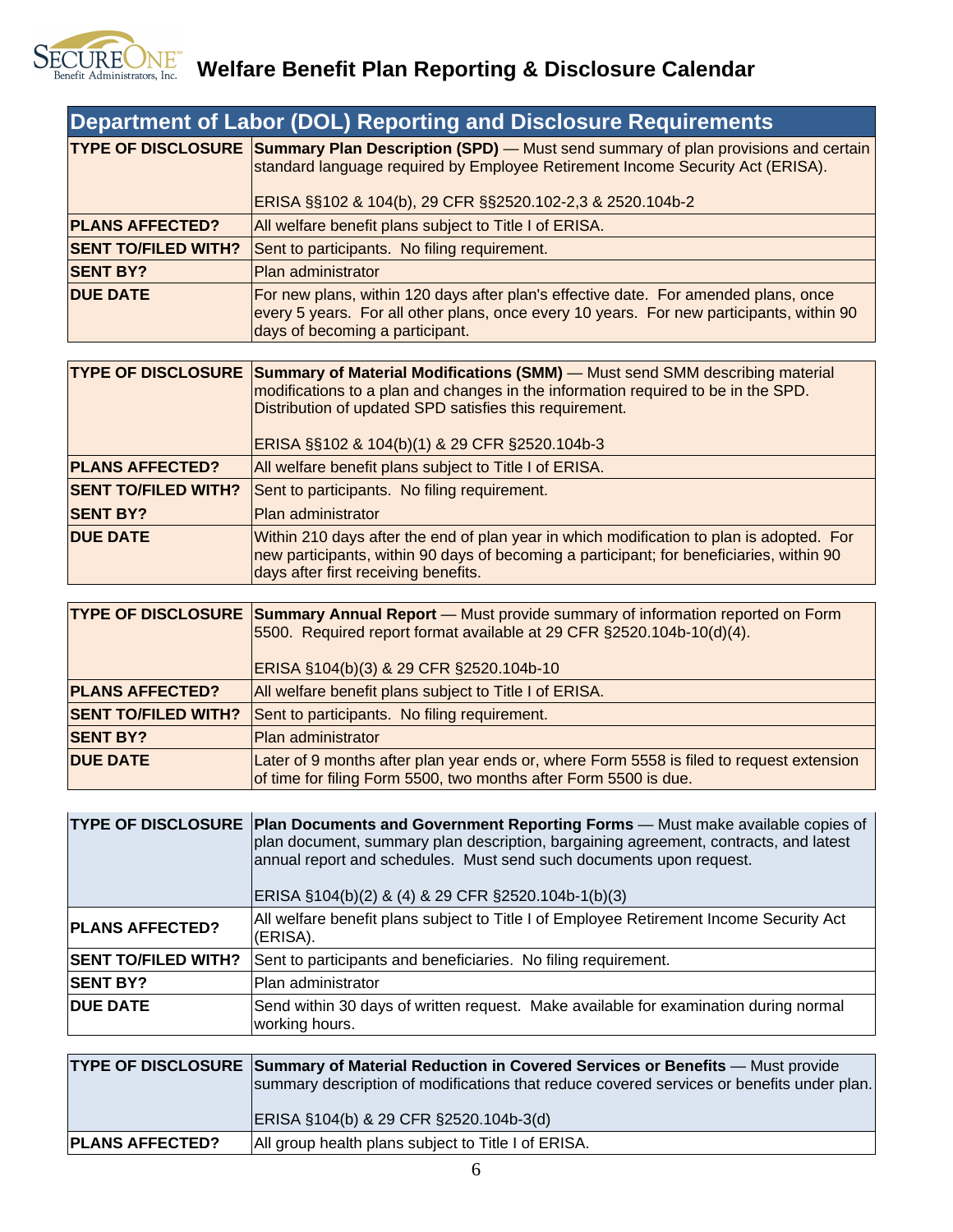

| <b>TYPE OF DISCLOSURE Summary Plan Description (SPD)</b> — Must send summary of plan provisions and certain<br>standard language required by Employee Retirement Income Security Act (ERISA).<br>ERISA §§102 & 104(b), 29 CFR §§2520.102-2,3 & 2520.104b-2<br>All welfare benefit plans subject to Title I of ERISA.<br><b>SENT TO/FILED WITH?</b><br>Sent to participants. No filing requirement.<br><b>SENT BY?</b><br>Plan administrator<br><b>DUE DATE</b><br>For new plans, within 120 days after plan's effective date. For amended plans, once<br>every 5 years. For all other plans, once every 10 years. For new participants, within 90<br>days of becoming a participant.<br><b>TYPE OF DISCLOSURE Summary of Material Modifications (SMM)</b> — Must send SMM describing material<br>modifications to a plan and changes in the information required to be in the SPD.<br>Distribution of updated SPD satisfies this requirement.<br>ERISA §§102 & 104(b)(1) & 29 CFR §2520.104b-3<br>All welfare benefit plans subject to Title I of ERISA.<br><b>SENT TO/FILED WITH?</b><br>Sent to participants. No filing requirement.<br>Plan administrator<br>Within 210 days after the end of plan year in which modification to plan is adopted. For<br><b>DUE DATE</b><br>new participants, within 90 days of becoming a participant; for beneficiaries, within 90<br>days after first receiving benefits.<br><b>TYPE OF DISCLOSURE Summary Annual Report</b> - Must provide summary of information reported on Form<br>5500. Required report format available at 29 CFR §2520.104b-10(d)(4).<br>ERISA §104(b)(3) & 29 CFR §2520.104b-10<br><b>PLANS AFFECTED?</b><br>All welfare benefit plans subject to Title I of ERISA.<br><b>SENT TO/FILED WITH?</b><br>Sent to participants. No filing requirement.<br><b>SENT BY?</b><br>Plan administrator<br><b>DUE DATE</b> | <b>Department of Labor (DOL) Reporting and Disclosure Requirements</b>                                                                                       |
|-----------------------------------------------------------------------------------------------------------------------------------------------------------------------------------------------------------------------------------------------------------------------------------------------------------------------------------------------------------------------------------------------------------------------------------------------------------------------------------------------------------------------------------------------------------------------------------------------------------------------------------------------------------------------------------------------------------------------------------------------------------------------------------------------------------------------------------------------------------------------------------------------------------------------------------------------------------------------------------------------------------------------------------------------------------------------------------------------------------------------------------------------------------------------------------------------------------------------------------------------------------------------------------------------------------------------------------------------------------------------------------------------------------------------------------------------------------------------------------------------------------------------------------------------------------------------------------------------------------------------------------------------------------------------------------------------------------------------------------------------------------------------------------------------------------------------------------------------------------------------------|--------------------------------------------------------------------------------------------------------------------------------------------------------------|
| <b>PLANS AFFECTED?</b><br><b>PLANS AFFECTED?</b><br><b>SENT BY?</b>                                                                                                                                                                                                                                                                                                                                                                                                                                                                                                                                                                                                                                                                                                                                                                                                                                                                                                                                                                                                                                                                                                                                                                                                                                                                                                                                                                                                                                                                                                                                                                                                                                                                                                                                                                                                         |                                                                                                                                                              |
|                                                                                                                                                                                                                                                                                                                                                                                                                                                                                                                                                                                                                                                                                                                                                                                                                                                                                                                                                                                                                                                                                                                                                                                                                                                                                                                                                                                                                                                                                                                                                                                                                                                                                                                                                                                                                                                                             |                                                                                                                                                              |
|                                                                                                                                                                                                                                                                                                                                                                                                                                                                                                                                                                                                                                                                                                                                                                                                                                                                                                                                                                                                                                                                                                                                                                                                                                                                                                                                                                                                                                                                                                                                                                                                                                                                                                                                                                                                                                                                             |                                                                                                                                                              |
|                                                                                                                                                                                                                                                                                                                                                                                                                                                                                                                                                                                                                                                                                                                                                                                                                                                                                                                                                                                                                                                                                                                                                                                                                                                                                                                                                                                                                                                                                                                                                                                                                                                                                                                                                                                                                                                                             |                                                                                                                                                              |
|                                                                                                                                                                                                                                                                                                                                                                                                                                                                                                                                                                                                                                                                                                                                                                                                                                                                                                                                                                                                                                                                                                                                                                                                                                                                                                                                                                                                                                                                                                                                                                                                                                                                                                                                                                                                                                                                             |                                                                                                                                                              |
|                                                                                                                                                                                                                                                                                                                                                                                                                                                                                                                                                                                                                                                                                                                                                                                                                                                                                                                                                                                                                                                                                                                                                                                                                                                                                                                                                                                                                                                                                                                                                                                                                                                                                                                                                                                                                                                                             |                                                                                                                                                              |
|                                                                                                                                                                                                                                                                                                                                                                                                                                                                                                                                                                                                                                                                                                                                                                                                                                                                                                                                                                                                                                                                                                                                                                                                                                                                                                                                                                                                                                                                                                                                                                                                                                                                                                                                                                                                                                                                             |                                                                                                                                                              |
|                                                                                                                                                                                                                                                                                                                                                                                                                                                                                                                                                                                                                                                                                                                                                                                                                                                                                                                                                                                                                                                                                                                                                                                                                                                                                                                                                                                                                                                                                                                                                                                                                                                                                                                                                                                                                                                                             |                                                                                                                                                              |
|                                                                                                                                                                                                                                                                                                                                                                                                                                                                                                                                                                                                                                                                                                                                                                                                                                                                                                                                                                                                                                                                                                                                                                                                                                                                                                                                                                                                                                                                                                                                                                                                                                                                                                                                                                                                                                                                             |                                                                                                                                                              |
|                                                                                                                                                                                                                                                                                                                                                                                                                                                                                                                                                                                                                                                                                                                                                                                                                                                                                                                                                                                                                                                                                                                                                                                                                                                                                                                                                                                                                                                                                                                                                                                                                                                                                                                                                                                                                                                                             |                                                                                                                                                              |
|                                                                                                                                                                                                                                                                                                                                                                                                                                                                                                                                                                                                                                                                                                                                                                                                                                                                                                                                                                                                                                                                                                                                                                                                                                                                                                                                                                                                                                                                                                                                                                                                                                                                                                                                                                                                                                                                             |                                                                                                                                                              |
|                                                                                                                                                                                                                                                                                                                                                                                                                                                                                                                                                                                                                                                                                                                                                                                                                                                                                                                                                                                                                                                                                                                                                                                                                                                                                                                                                                                                                                                                                                                                                                                                                                                                                                                                                                                                                                                                             |                                                                                                                                                              |
|                                                                                                                                                                                                                                                                                                                                                                                                                                                                                                                                                                                                                                                                                                                                                                                                                                                                                                                                                                                                                                                                                                                                                                                                                                                                                                                                                                                                                                                                                                                                                                                                                                                                                                                                                                                                                                                                             |                                                                                                                                                              |
|                                                                                                                                                                                                                                                                                                                                                                                                                                                                                                                                                                                                                                                                                                                                                                                                                                                                                                                                                                                                                                                                                                                                                                                                                                                                                                                                                                                                                                                                                                                                                                                                                                                                                                                                                                                                                                                                             |                                                                                                                                                              |
|                                                                                                                                                                                                                                                                                                                                                                                                                                                                                                                                                                                                                                                                                                                                                                                                                                                                                                                                                                                                                                                                                                                                                                                                                                                                                                                                                                                                                                                                                                                                                                                                                                                                                                                                                                                                                                                                             |                                                                                                                                                              |
|                                                                                                                                                                                                                                                                                                                                                                                                                                                                                                                                                                                                                                                                                                                                                                                                                                                                                                                                                                                                                                                                                                                                                                                                                                                                                                                                                                                                                                                                                                                                                                                                                                                                                                                                                                                                                                                                             |                                                                                                                                                              |
|                                                                                                                                                                                                                                                                                                                                                                                                                                                                                                                                                                                                                                                                                                                                                                                                                                                                                                                                                                                                                                                                                                                                                                                                                                                                                                                                                                                                                                                                                                                                                                                                                                                                                                                                                                                                                                                                             |                                                                                                                                                              |
|                                                                                                                                                                                                                                                                                                                                                                                                                                                                                                                                                                                                                                                                                                                                                                                                                                                                                                                                                                                                                                                                                                                                                                                                                                                                                                                                                                                                                                                                                                                                                                                                                                                                                                                                                                                                                                                                             |                                                                                                                                                              |
|                                                                                                                                                                                                                                                                                                                                                                                                                                                                                                                                                                                                                                                                                                                                                                                                                                                                                                                                                                                                                                                                                                                                                                                                                                                                                                                                                                                                                                                                                                                                                                                                                                                                                                                                                                                                                                                                             | Later of 9 months after plan year ends or, where Form 5558 is filed to request extension<br>of time for filing Form 5500, two months after Form 5500 is due. |

|                            | TYPE OF DISCLOSURE Plan Documents and Government Reporting Forms - Must make available copies of<br>plan document, summary plan description, bargaining agreement, contracts, and latest<br>annual report and schedules. Must send such documents upon request.<br>ERISA §104(b)(2) & (4) & 29 CFR §2520.104b-1(b)(3) |
|----------------------------|-----------------------------------------------------------------------------------------------------------------------------------------------------------------------------------------------------------------------------------------------------------------------------------------------------------------------|
| <b>PLANS AFFECTED?</b>     | All welfare benefit plans subject to Title I of Employee Retirement Income Security Act<br>(ERISA).                                                                                                                                                                                                                   |
| <b>SENT TO/FILED WITH?</b> | Sent to participants and beneficiaries. No filing requirement.                                                                                                                                                                                                                                                        |
| <b>SENT BY?</b>            | Plan administrator                                                                                                                                                                                                                                                                                                    |
| <b>DUE DATE</b>            | Send within 30 days of written request. Make available for examination during normal<br>working hours.                                                                                                                                                                                                                |

|                        | <b>TYPE OF DISCLOSURE Summary of Material Reduction in Covered Services or Benefits</b> — Must provide<br>summary description of modifications that reduce covered services or benefits under plan.<br>ERISA §104(b) & 29 CFR §2520.104b-3(d) |
|------------------------|-----------------------------------------------------------------------------------------------------------------------------------------------------------------------------------------------------------------------------------------------|
| <b>PLANS AFFECTED?</b> | All group health plans subject to Title I of ERISA.                                                                                                                                                                                           |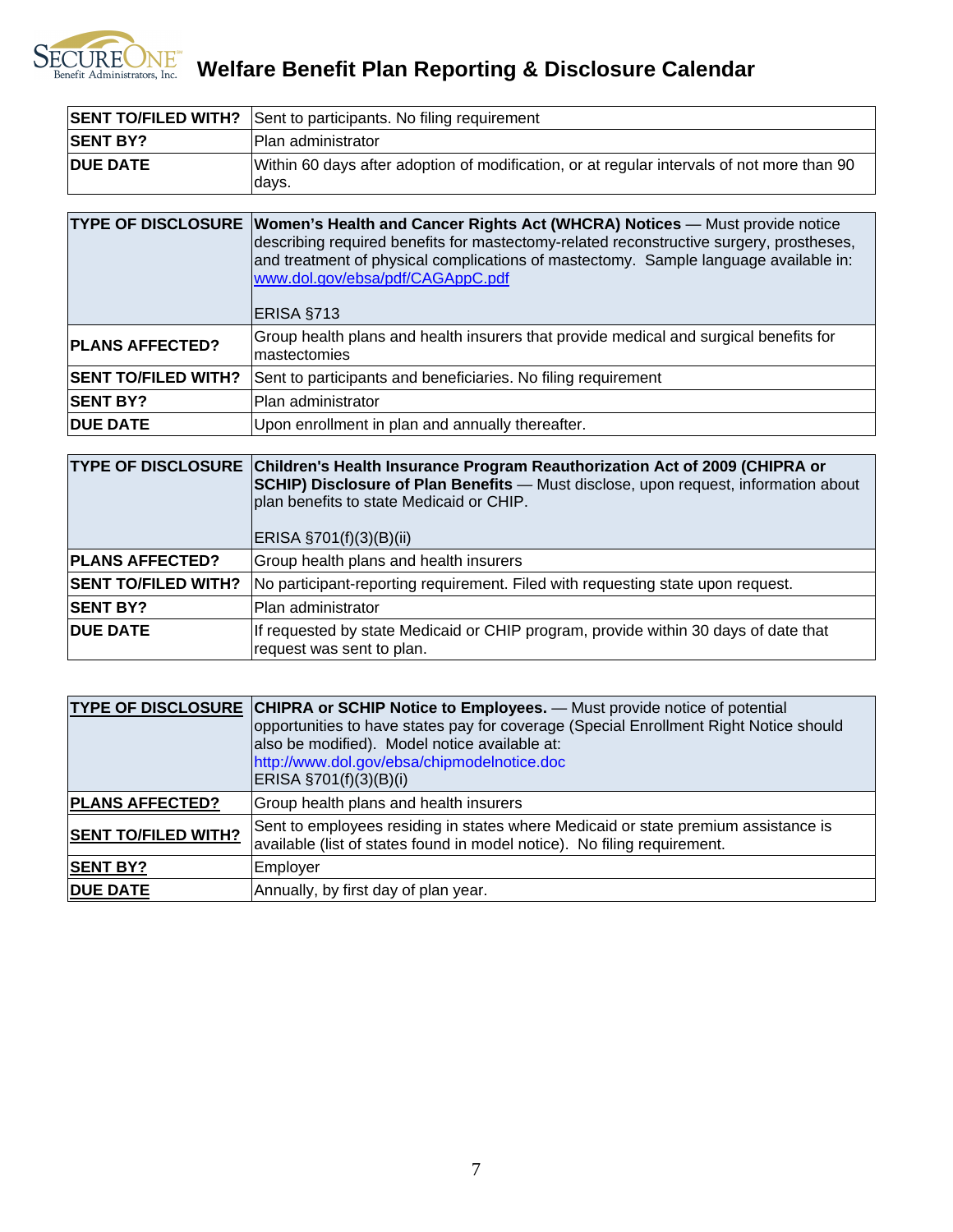

SECUREONE<sup>®</sup> Welfare Benefit Plan Reporting & Disclosure Calendar

|                  | <b>SENT TO/FILED WITH?</b> Sent to participants. No filing requirement                               |
|------------------|------------------------------------------------------------------------------------------------------|
| <b>ISENT BY?</b> | <b>Plan administrator</b>                                                                            |
| <b>DUE DATE</b>  | Within 60 days after adoption of modification, or at regular intervals of not more than 90<br>ldays. |

|                            | <b>TYPE OF DISCLOSURE Women's Health and Cancer Rights Act (WHCRA) Notices</b> - Must provide notice<br>describing required benefits for mastectomy-related reconstructive surgery, prostheses,<br>and treatment of physical complications of mastectomy. Sample language available in:<br>www.dol.gov/ebsa/pdf/CAGAppC.pdf<br>ERISA §713 |
|----------------------------|-------------------------------------------------------------------------------------------------------------------------------------------------------------------------------------------------------------------------------------------------------------------------------------------------------------------------------------------|
| <b>PLANS AFFECTED?</b>     | Group health plans and health insurers that provide medical and surgical benefits for<br>Imastectomies                                                                                                                                                                                                                                    |
| <b>SENT TO/FILED WITH?</b> | Sent to participants and beneficiaries. No filing requirement                                                                                                                                                                                                                                                                             |
| <b>SENT BY?</b>            | Plan administrator                                                                                                                                                                                                                                                                                                                        |
| <b>DUE DATE</b>            | Upon enrollment in plan and annually thereafter.                                                                                                                                                                                                                                                                                          |

|                            | <b>TYPE OF DISCLOSURE Children's Health Insurance Program Reauthorization Act of 2009 (CHIPRA or</b><br><b>SCHIP) Disclosure of Plan Benefits</b> - Must disclose, upon request, information about<br>plan benefits to state Medicaid or CHIP.<br>ERISA §701(f)(3)(B)(ii) |
|----------------------------|---------------------------------------------------------------------------------------------------------------------------------------------------------------------------------------------------------------------------------------------------------------------------|
| <b>PLANS AFFECTED?</b>     | Group health plans and health insurers                                                                                                                                                                                                                                    |
| <b>SENT TO/FILED WITH?</b> | No participant-reporting requirement. Filed with requesting state upon request.                                                                                                                                                                                           |
| <b>SENT BY?</b>            | Plan administrator                                                                                                                                                                                                                                                        |
| <b>DUE DATE</b>            | If requested by state Medicaid or CHIP program, provide within 30 days of date that<br>request was sent to plan.                                                                                                                                                          |

|                            | TYPE OF DISCLOSURE CHIPRA or SCHIP Notice to Employees. - Must provide notice of potential<br>opportunities to have states pay for coverage (Special Enrollment Right Notice should<br>also be modified). Model notice available at:<br>http://www.dol.gov/ebsa/chipmodelnotice.doc<br>$ERISA$ §701(f)(3)(B)(i) |
|----------------------------|-----------------------------------------------------------------------------------------------------------------------------------------------------------------------------------------------------------------------------------------------------------------------------------------------------------------|
| <b>PLANS AFFECTED?</b>     | Group health plans and health insurers                                                                                                                                                                                                                                                                          |
| <b>SENT TO/FILED WITH?</b> | Sent to employees residing in states where Medicaid or state premium assistance is<br>available (list of states found in model notice). No filing requirement.                                                                                                                                                  |
| <b>SENT BY?</b>            | Employer                                                                                                                                                                                                                                                                                                        |
| <b>DUE DATE</b>            | Annually, by first day of plan year.                                                                                                                                                                                                                                                                            |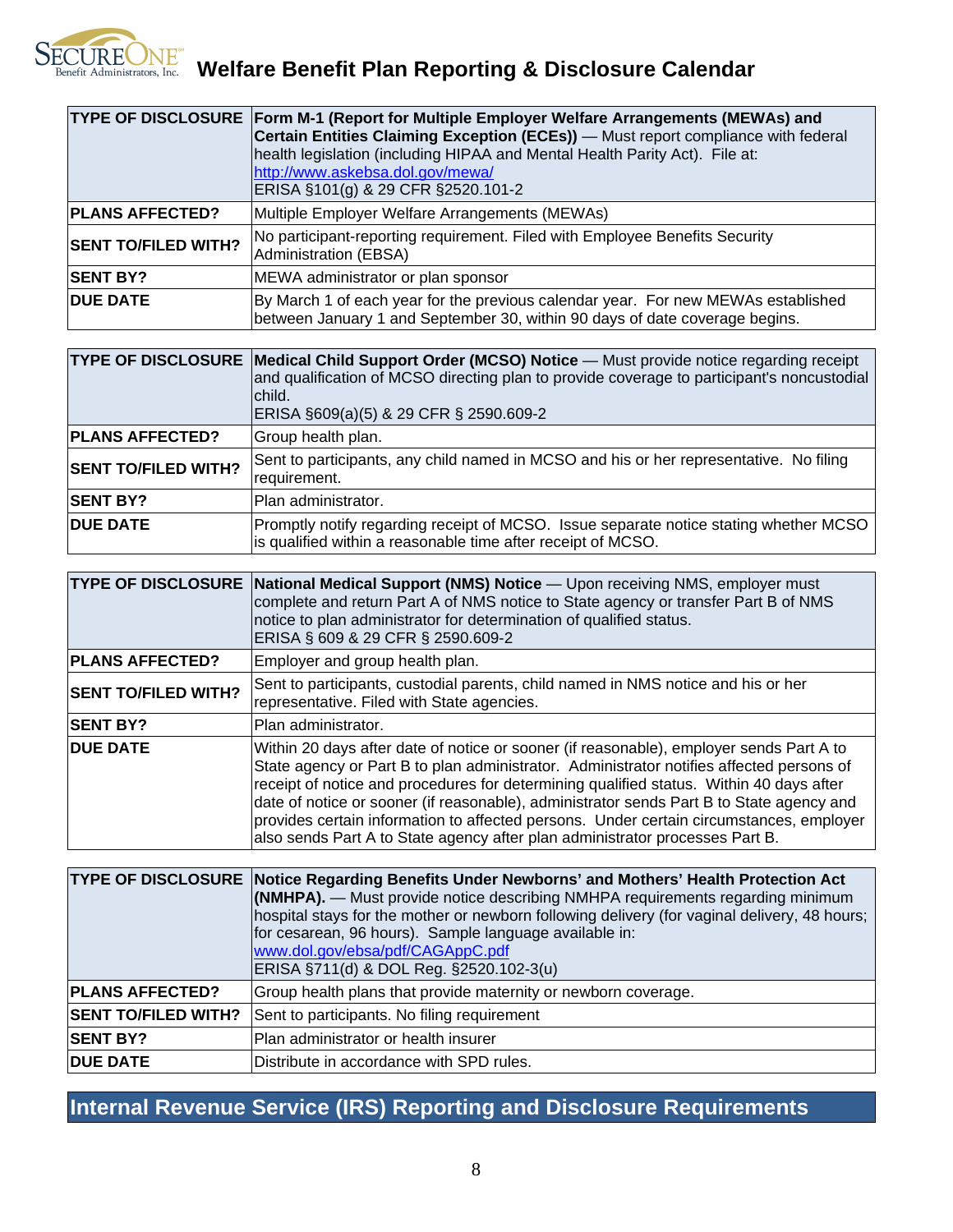

|                            | TYPE OF DISCLOSURE Form M-1 (Report for Multiple Employer Welfare Arrangements (MEWAs) and<br>Certain Entities Claiming Exception (ECEs)) — Must report compliance with federal<br>health legislation (including HIPAA and Mental Health Parity Act). File at:<br>http://www.askebsa.dol.gov/mewa/<br>ERISA §101(g) & 29 CFR §2520.101-2 |
|----------------------------|------------------------------------------------------------------------------------------------------------------------------------------------------------------------------------------------------------------------------------------------------------------------------------------------------------------------------------------|
| <b>PLANS AFFECTED?</b>     | Multiple Employer Welfare Arrangements (MEWAs)                                                                                                                                                                                                                                                                                           |
| <b>SENT TO/FILED WITH?</b> | No participant-reporting requirement. Filed with Employee Benefits Security<br>Administration (EBSA)                                                                                                                                                                                                                                     |
| <b>SENT BY?</b>            | MEWA administrator or plan sponsor                                                                                                                                                                                                                                                                                                       |
| <b>DUE DATE</b>            | By March 1 of each year for the previous calendar year. For new MEWAs established<br>between January 1 and September 30, within 90 days of date coverage begins.                                                                                                                                                                         |

|                            | <b>TYPE OF DISCLOSURE Medical Child Support Order (MCSO) Notice</b> — Must provide notice regarding receipt<br>and qualification of MCSO directing plan to provide coverage to participant's noncustodial<br>lchild.<br>ERISA §609(a)(5) & 29 CFR § 2590.609-2 |
|----------------------------|----------------------------------------------------------------------------------------------------------------------------------------------------------------------------------------------------------------------------------------------------------------|
| <b>PLANS AFFECTED?</b>     | Group health plan.                                                                                                                                                                                                                                             |
| <b>SENT TO/FILED WITH?</b> | Sent to participants, any child named in MCSO and his or her representative. No filing<br>requirement.                                                                                                                                                         |
| <b>SENT BY?</b>            | lPlan administrator.                                                                                                                                                                                                                                           |
| <b>DUE DATE</b>            | Promptly notify regarding receipt of MCSO. Issue separate notice stating whether MCSO<br>is qualified within a reasonable time after receipt of MCSO.                                                                                                          |

|                            | TYPE OF DISCLOSURE National Medical Support (NMS) Notice - Upon receiving NMS, employer must<br>complete and return Part A of NMS notice to State agency or transfer Part B of NMS<br>notice to plan administrator for determination of qualified status.<br>ERISA § 609 & 29 CFR § 2590.609-2                                                                                                                                                                                                                                                        |
|----------------------------|-------------------------------------------------------------------------------------------------------------------------------------------------------------------------------------------------------------------------------------------------------------------------------------------------------------------------------------------------------------------------------------------------------------------------------------------------------------------------------------------------------------------------------------------------------|
| <b>PLANS AFFECTED?</b>     | Employer and group health plan.                                                                                                                                                                                                                                                                                                                                                                                                                                                                                                                       |
| <b>SENT TO/FILED WITH?</b> | Sent to participants, custodial parents, child named in NMS notice and his or her<br>representative. Filed with State agencies.                                                                                                                                                                                                                                                                                                                                                                                                                       |
| <b>SENT BY?</b>            | Plan administrator.                                                                                                                                                                                                                                                                                                                                                                                                                                                                                                                                   |
| <b>DUE DATE</b>            | Within 20 days after date of notice or sooner (if reasonable), employer sends Part A to<br>State agency or Part B to plan administrator. Administrator notifies affected persons of<br>receipt of notice and procedures for determining qualified status. Within 40 days after<br>date of notice or sooner (if reasonable), administrator sends Part B to State agency and<br>provides certain information to affected persons. Under certain circumstances, employer<br>also sends Part A to State agency after plan administrator processes Part B. |

|                            | TYPE OF DISCLOSURE Notice Regarding Benefits Under Newborns' and Mothers' Health Protection Act<br><b>(NMHPA).</b> — Must provide notice describing NMHPA requirements regarding minimum<br>hospital stays for the mother or newborn following delivery (for vaginal delivery, 48 hours;<br>for cesarean, 96 hours). Sample language available in:<br>www.dol.gov/ebsa/pdf/CAGAppC.pdf<br>ERISA §711(d) & DOL Reg. §2520.102-3(u) |
|----------------------------|-----------------------------------------------------------------------------------------------------------------------------------------------------------------------------------------------------------------------------------------------------------------------------------------------------------------------------------------------------------------------------------------------------------------------------------|
| <b>PLANS AFFECTED?</b>     | Group health plans that provide maternity or newborn coverage.                                                                                                                                                                                                                                                                                                                                                                    |
| <b>SENT TO/FILED WITH?</b> | Sent to participants. No filing requirement                                                                                                                                                                                                                                                                                                                                                                                       |
| <b>SENT BY?</b>            | Plan administrator or health insurer                                                                                                                                                                                                                                                                                                                                                                                              |
| <b>DUE DATE</b>            | Distribute in accordance with SPD rules.                                                                                                                                                                                                                                                                                                                                                                                          |

## **Internal Revenue Service (IRS) Reporting and Disclosure Requirements**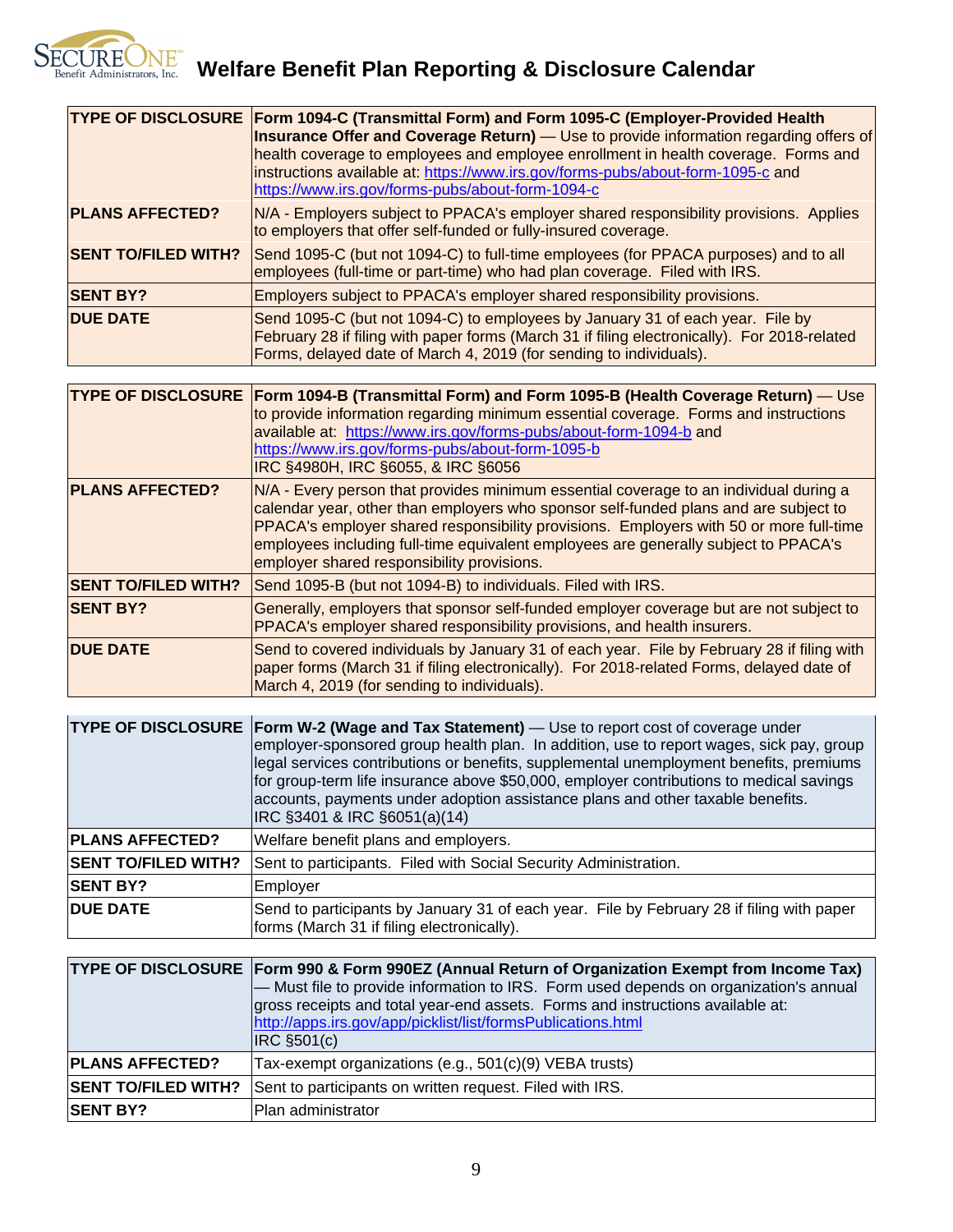

|                            | TYPE OF DISCLOSURE Form 1094-C (Transmittal Form) and Form 1095-C (Employer-Provided Health<br><b>Insurance Offer and Coverage Return)</b> - Use to provide information regarding offers of<br>health coverage to employees and employee enrollment in health coverage. Forms and<br>instructions available at: https://www.irs.gov/forms-pubs/about-form-1095-c and<br>https://www.irs.gov/forms-pubs/about-form-1094-c |
|----------------------------|--------------------------------------------------------------------------------------------------------------------------------------------------------------------------------------------------------------------------------------------------------------------------------------------------------------------------------------------------------------------------------------------------------------------------|
| <b>PLANS AFFECTED?</b>     | N/A - Employers subject to PPACA's employer shared responsibility provisions. Applies<br>to employers that offer self-funded or fully-insured coverage.                                                                                                                                                                                                                                                                  |
| <b>SENT TO/FILED WITH?</b> | Send 1095-C (but not 1094-C) to full-time employees (for PPACA purposes) and to all<br>employees (full-time or part-time) who had plan coverage. Filed with IRS.                                                                                                                                                                                                                                                         |
| <b>SENT BY?</b>            | Employers subject to PPACA's employer shared responsibility provisions.                                                                                                                                                                                                                                                                                                                                                  |
| <b>DUE DATE</b>            | Send 1095-C (but not 1094-C) to employees by January 31 of each year. File by<br>February 28 if filing with paper forms (March 31 if filing electronically). For 2018-related<br>Forms, delayed date of March 4, 2019 (for sending to individuals).                                                                                                                                                                      |

|                            | TYPE OF DISCLOSURE Form 1094-B (Transmittal Form) and Form 1095-B (Health Coverage Return) — Use<br>to provide information regarding minimum essential coverage. Forms and instructions<br>available at: https://www.irs.gov/forms-pubs/about-form-1094-b and<br>https://www.irs.gov/forms-pubs/about-form-1095-b<br>IRC §4980H, IRC §6055, & IRC §6056                                                      |
|----------------------------|--------------------------------------------------------------------------------------------------------------------------------------------------------------------------------------------------------------------------------------------------------------------------------------------------------------------------------------------------------------------------------------------------------------|
| <b>PLANS AFFECTED?</b>     | N/A - Every person that provides minimum essential coverage to an individual during a<br>calendar year, other than employers who sponsor self-funded plans and are subject to<br>PPACA's employer shared responsibility provisions. Employers with 50 or more full-time<br>employees including full-time equivalent employees are generally subject to PPACA's<br>employer shared responsibility provisions. |
| <b>SENT TO/FILED WITH?</b> | Send 1095-B (but not 1094-B) to individuals. Filed with IRS.                                                                                                                                                                                                                                                                                                                                                 |
| <b>SENT BY?</b>            | Generally, employers that sponsor self-funded employer coverage but are not subject to<br>PPACA's employer shared responsibility provisions, and health insurers.                                                                                                                                                                                                                                            |
| <b>DUE DATE</b>            | Send to covered individuals by January 31 of each year. File by February 28 if filing with<br>paper forms (March 31 if filing electronically). For 2018-related Forms, delayed date of<br>March 4, 2019 (for sending to individuals).                                                                                                                                                                        |

|                            | <b>TYPE OF DISCLOSURE Form W-2 (Wage and Tax Statement)</b> — Use to report cost of coverage under<br>employer-sponsored group health plan. In addition, use to report wages, sick pay, group<br>legal services contributions or benefits, supplemental unemployment benefits, premiums<br>for group-term life insurance above \$50,000, employer contributions to medical savings<br>accounts, payments under adoption assistance plans and other taxable benefits.<br>IRC §3401 & IRC §6051(a)(14) |
|----------------------------|------------------------------------------------------------------------------------------------------------------------------------------------------------------------------------------------------------------------------------------------------------------------------------------------------------------------------------------------------------------------------------------------------------------------------------------------------------------------------------------------------|
| <b>PLANS AFFECTED?</b>     | Welfare benefit plans and employers.                                                                                                                                                                                                                                                                                                                                                                                                                                                                 |
| <b>SENT TO/FILED WITH?</b> | Sent to participants. Filed with Social Security Administration.                                                                                                                                                                                                                                                                                                                                                                                                                                     |
| <b>SENT BY?</b>            | Employer                                                                                                                                                                                                                                                                                                                                                                                                                                                                                             |
| <b>DUE DATE</b>            | Send to participants by January 31 of each year. File by February 28 if filing with paper<br>forms (March 31 if filing electronically).                                                                                                                                                                                                                                                                                                                                                              |

|                            | TYPE OF DISCLOSURE Form 990 & Form 990EZ (Annual Return of Organization Exempt from Income Tax)<br>- Must file to provide information to IRS. Form used depends on organization's annual<br>gross receipts and total year-end assets. Forms and instructions available at:<br>http://apps.irs.gov/app/picklist/list/formsPublications.html<br>$ $ IRC $§501(c)$ |
|----------------------------|-----------------------------------------------------------------------------------------------------------------------------------------------------------------------------------------------------------------------------------------------------------------------------------------------------------------------------------------------------------------|
| <b>PLANS AFFECTED?</b>     | Tax-exempt organizations (e.g., 501(c)(9) VEBA trusts)                                                                                                                                                                                                                                                                                                          |
| <b>SENT TO/FILED WITH?</b> | Sent to participants on written request. Filed with IRS.                                                                                                                                                                                                                                                                                                        |
| <b>SENT BY?</b>            | IPlan administrator                                                                                                                                                                                                                                                                                                                                             |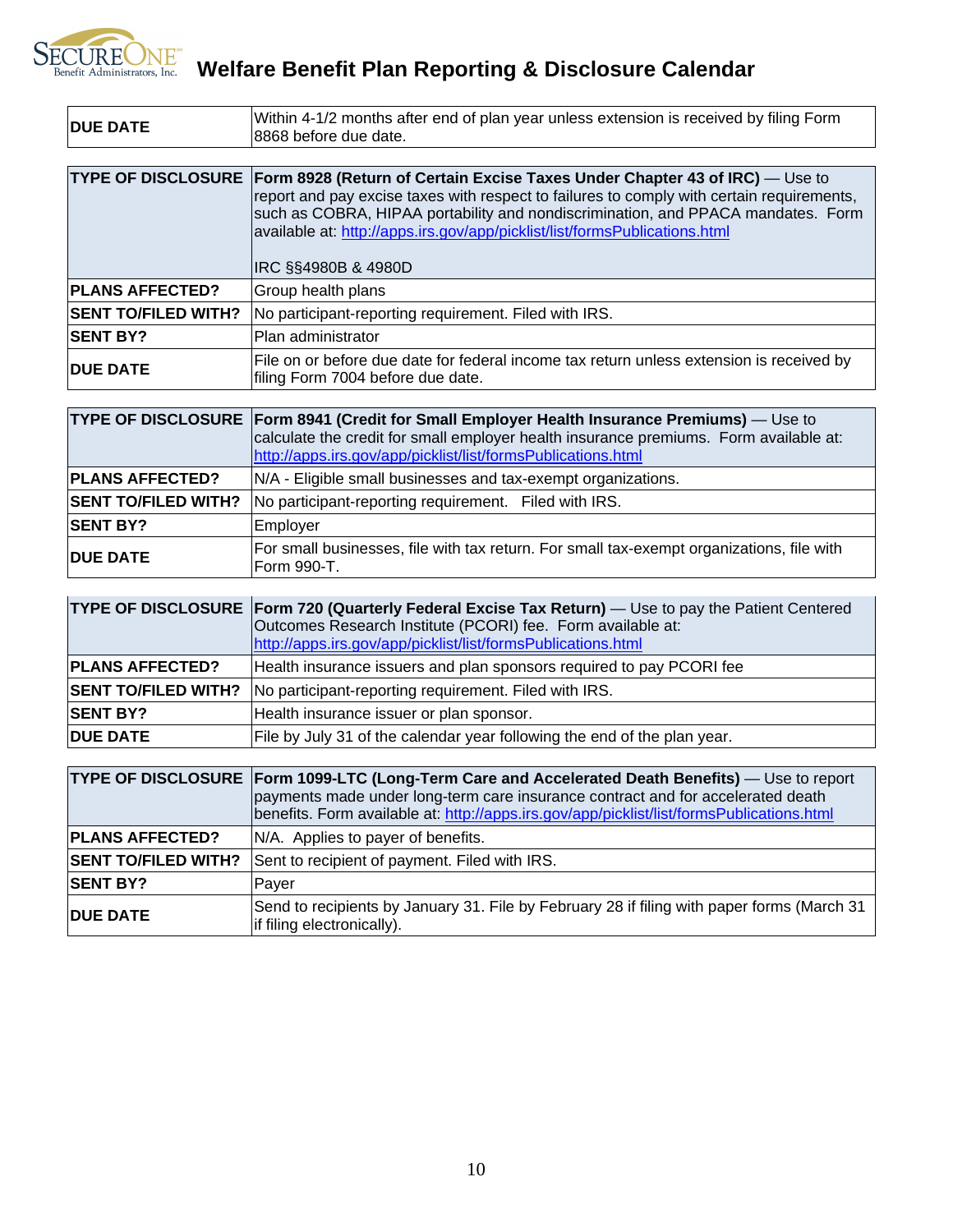

SECUREONE<sup>W</sup> Welfare Benefit Plan Reporting & Disclosure Calendar

| <b>DUE DATE</b>            | Within 4-1/2 months after end of plan year unless extension is received by filing Form<br>8868 before due date.                                                                                                                                                                                                                                                                                 |
|----------------------------|-------------------------------------------------------------------------------------------------------------------------------------------------------------------------------------------------------------------------------------------------------------------------------------------------------------------------------------------------------------------------------------------------|
|                            |                                                                                                                                                                                                                                                                                                                                                                                                 |
|                            | TYPE OF DISCLOSURE Form 8928 (Return of Certain Excise Taxes Under Chapter 43 of IRC) - Use to<br>report and pay excise taxes with respect to failures to comply with certain requirements,<br>such as COBRA, HIPAA portability and nondiscrimination, and PPACA mandates. Form<br>available at: http://apps.irs.gov/app/picklist/list/formsPublications.html<br><b>IRC SS4980B &amp; 4980D</b> |
| <b>PLANS AFFECTED?</b>     | Group health plans                                                                                                                                                                                                                                                                                                                                                                              |
| <b>SENT TO/FILED WITH?</b> | No participant-reporting requirement. Filed with IRS.                                                                                                                                                                                                                                                                                                                                           |
| <b>SENT BY?</b>            | Plan administrator                                                                                                                                                                                                                                                                                                                                                                              |
| <b>DUE DATE</b>            | File on or before due date for federal income tax return unless extension is received by<br>filing Form 7004 before due date.                                                                                                                                                                                                                                                                   |

|                            | TYPE OF DISCLOSURE Form 8941 (Credit for Small Employer Health Insurance Premiums) — Use to<br>calculate the credit for small employer health insurance premiums. Form available at:<br>http://apps.irs.gov/app/picklist/list/formsPublications.html |
|----------------------------|------------------------------------------------------------------------------------------------------------------------------------------------------------------------------------------------------------------------------------------------------|
| <b>PLANS AFFECTED?</b>     | N/A - Eligible small businesses and tax-exempt organizations.                                                                                                                                                                                        |
| <b>SENT TO/FILED WITH?</b> | No participant-reporting requirement. Filed with IRS.                                                                                                                                                                                                |
| <b>SENT BY?</b>            | Employer                                                                                                                                                                                                                                             |
| <b>DUE DATE</b>            | For small businesses, file with tax return. For small tax-exempt organizations, file with<br>Form 990-T.                                                                                                                                             |

|                            | <b>TYPE OF DISCLOSURE Form 720 (Quarterly Federal Excise Tax Return)</b> — Use to pay the Patient Centered<br>Outcomes Research Institute (PCORI) fee. Form available at:<br>http://apps.irs.gov/app/picklist/list/formsPublications.html |
|----------------------------|-------------------------------------------------------------------------------------------------------------------------------------------------------------------------------------------------------------------------------------------|
| <b>PLANS AFFECTED?</b>     | Health insurance issuers and plan sponsors required to pay PCORI fee                                                                                                                                                                      |
| <b>SENT TO/FILED WITH?</b> | No participant-reporting requirement. Filed with IRS.                                                                                                                                                                                     |
| <b>SENT BY?</b>            | Health insurance issuer or plan sponsor.                                                                                                                                                                                                  |
| <b>DUE DATE</b>            | File by July 31 of the calendar year following the end of the plan year.                                                                                                                                                                  |

|                            | TYPE OF DISCLOSURE Form 1099-LTC (Long-Term Care and Accelerated Death Benefits) - Use to report<br>payments made under long-term care insurance contract and for accelerated death<br>benefits. Form available at: http://apps.irs.gov/app/picklist/list/formsPublications.html |
|----------------------------|----------------------------------------------------------------------------------------------------------------------------------------------------------------------------------------------------------------------------------------------------------------------------------|
| <b>PLANS AFFECTED?</b>     | N/A. Applies to payer of benefits.                                                                                                                                                                                                                                               |
| <b>SENT TO/FILED WITH?</b> | Sent to recipient of payment. Filed with IRS.                                                                                                                                                                                                                                    |
| <b>SENT BY?</b>            | Paver                                                                                                                                                                                                                                                                            |
| <b>DUE DATE</b>            | Send to recipients by January 31. File by February 28 if filing with paper forms (March 31<br>lif filing electronically).                                                                                                                                                        |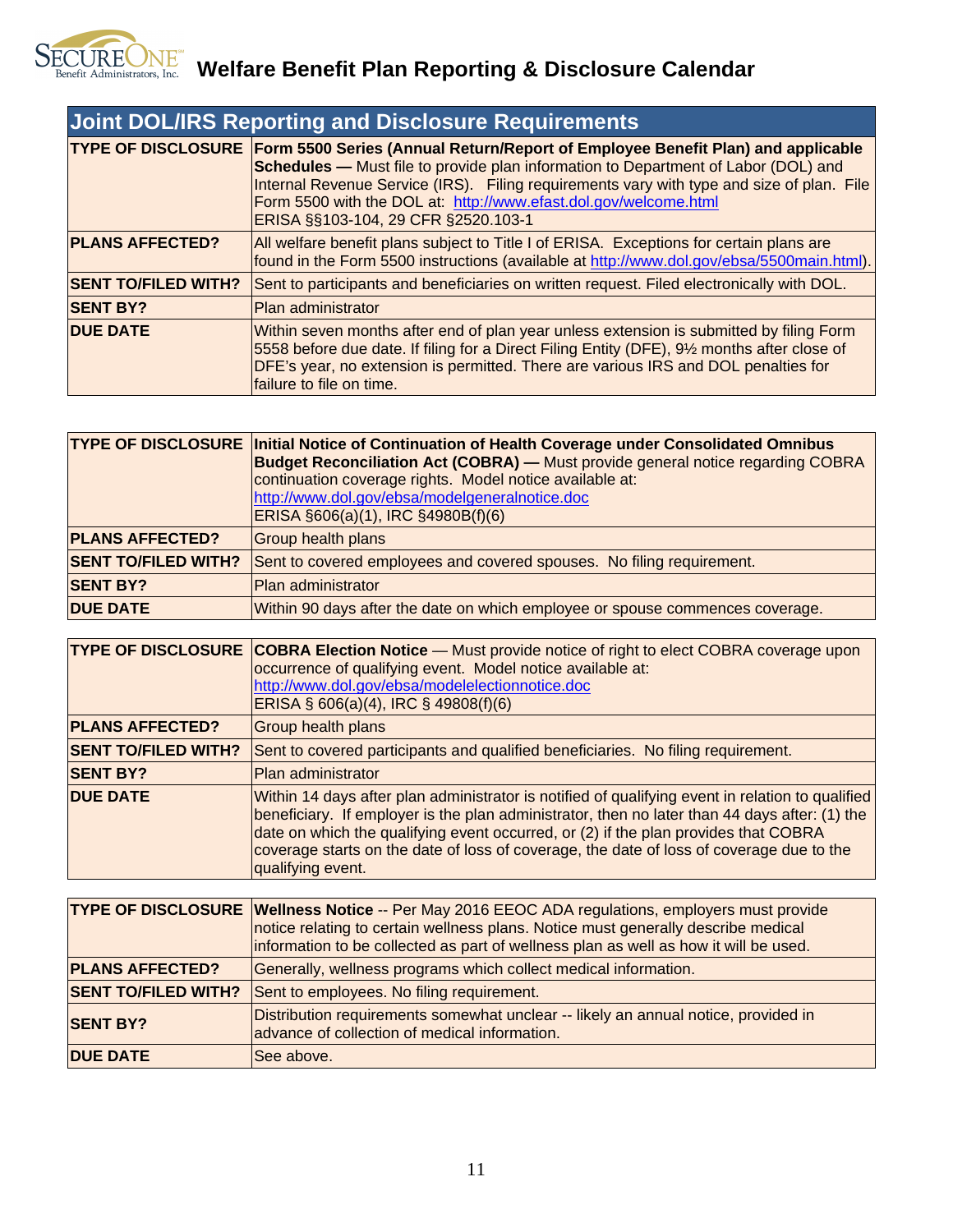

| <b>Joint DOL/IRS Reporting and Disclosure Requirements</b> |                                                                                                                                                                                                                                                                                                                                                                                                                |
|------------------------------------------------------------|----------------------------------------------------------------------------------------------------------------------------------------------------------------------------------------------------------------------------------------------------------------------------------------------------------------------------------------------------------------------------------------------------------------|
|                                                            | <b>TYPE OF DISCLOSURE Form 5500 Series (Annual Return/Report of Employee Benefit Plan) and applicable</b><br><b>Schedules</b> — Must file to provide plan information to Department of Labor (DOL) and<br>Internal Revenue Service (IRS). Filing requirements vary with type and size of plan. File<br>Form 5500 with the DOL at: http://www.efast.dol.gov/welcome.html<br>ERISA §§103-104, 29 CFR §2520.103-1 |
| <b>PLANS AFFECTED?</b>                                     | All welfare benefit plans subject to Title I of ERISA. Exceptions for certain plans are<br>found in the Form 5500 instructions (available at http://www.dol.gov/ebsa/5500main.html).                                                                                                                                                                                                                           |
| <b>SENT TO/FILED WITH?</b>                                 | Sent to participants and beneficiaries on written request. Filed electronically with DOL.                                                                                                                                                                                                                                                                                                                      |
| <b>SENT BY?</b>                                            | <b>Plan administrator</b>                                                                                                                                                                                                                                                                                                                                                                                      |
| <b>DUE DATE</b>                                            | Within seven months after end of plan year unless extension is submitted by filing Form<br>5558 before due date. If filing for a Direct Filing Entity (DFE), 91/2 months after close of<br>DFE's year, no extension is permitted. There are various IRS and DOL penalties for<br>failure to file on time.                                                                                                      |

|                            | <b>TYPE OF DISCLOSURE Initial Notice of Continuation of Health Coverage under Consolidated Omnibus</b><br><b>Budget Reconciliation Act (COBRA)</b> - Must provide general notice regarding COBRA<br>continuation coverage rights. Model notice available at:<br>http://www.dol.gov/ebsa/modelgeneralnotice.doc<br>ERISA §606(a)(1), IRC §4980B(f)(6) |
|----------------------------|------------------------------------------------------------------------------------------------------------------------------------------------------------------------------------------------------------------------------------------------------------------------------------------------------------------------------------------------------|
| <b>PLANS AFFECTED?</b>     | Group health plans                                                                                                                                                                                                                                                                                                                                   |
| <b>SENT TO/FILED WITH?</b> | Sent to covered employees and covered spouses. No filing requirement.                                                                                                                                                                                                                                                                                |
| <b>SENT BY?</b>            | <b>Plan administrator</b>                                                                                                                                                                                                                                                                                                                            |
| <b>DUE DATE</b>            | Within 90 days after the date on which employee or spouse commences coverage.                                                                                                                                                                                                                                                                        |

|                            | <b>TYPE OF DISCLOSURE COBRA Election Notice</b> - Must provide notice of right to elect COBRA coverage upon<br>occurrence of qualifying event. Model notice available at:<br>http://www.dol.gov/ebsa/modelelectionnotice.doc<br>$ERISA$ § 606(a)(4), IRC § 49808(f)(6)                                                                                                                                    |
|----------------------------|-----------------------------------------------------------------------------------------------------------------------------------------------------------------------------------------------------------------------------------------------------------------------------------------------------------------------------------------------------------------------------------------------------------|
| <b>PLANS AFFECTED?</b>     | Group health plans                                                                                                                                                                                                                                                                                                                                                                                        |
| <b>SENT TO/FILED WITH?</b> | Sent to covered participants and qualified beneficiaries. No filing requirement.                                                                                                                                                                                                                                                                                                                          |
| <b>SENT BY?</b>            | <b>Plan administrator</b>                                                                                                                                                                                                                                                                                                                                                                                 |
| <b>DUE DATE</b>            | Within 14 days after plan administrator is notified of qualifying event in relation to qualified<br>beneficiary. If employer is the plan administrator, then no later than 44 days after: (1) the<br>date on which the qualifying event occurred, or (2) if the plan provides that COBRA<br>coverage starts on the date of loss of coverage, the date of loss of coverage due to the<br>qualifying event. |

|                            | <b>TYPE OF DISCLOSURE Wellness Notice -- Per May 2016 EEOC ADA regulations, employers must provide</b><br>notice relating to certain wellness plans. Notice must generally describe medical<br>information to be collected as part of wellness plan as well as how it will be used. |
|----------------------------|-------------------------------------------------------------------------------------------------------------------------------------------------------------------------------------------------------------------------------------------------------------------------------------|
| <b>PLANS AFFECTED?</b>     | Generally, wellness programs which collect medical information.                                                                                                                                                                                                                     |
| <b>SENT TO/FILED WITH?</b> | Sent to employees. No filing requirement.                                                                                                                                                                                                                                           |
| <b>SENT BY?</b>            | Distribution requirements somewhat unclear -- likely an annual notice, provided in<br>advance of collection of medical information.                                                                                                                                                 |
| <b>DUE DATE</b>            | <b>See above.</b>                                                                                                                                                                                                                                                                   |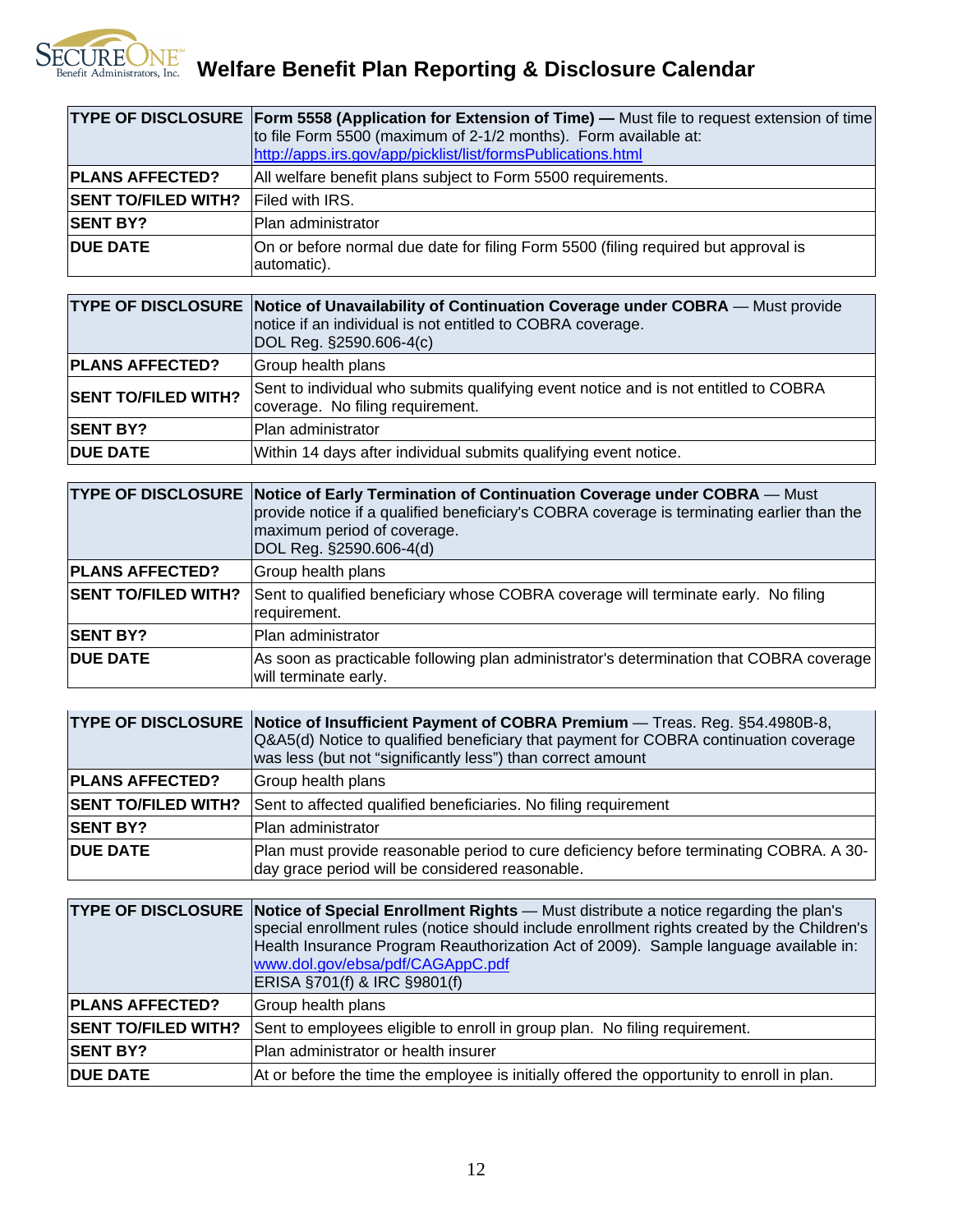

SECUREONE<sup>W</sup> Welfare Benefit Plan Reporting & Disclosure Calendar

|                            | TYPE OF DISCLOSURE Form 5558 (Application for Extension of Time) - Must file to request extension of time |
|----------------------------|-----------------------------------------------------------------------------------------------------------|
|                            | to file Form 5500 (maximum of 2-1/2 months). Form available at:                                           |
|                            | http://apps.irs.gov/app/picklist/list/formsPublications.html                                              |
| <b>PLANS AFFECTED?</b>     | All welfare benefit plans subject to Form 5500 requirements.                                              |
| <b>SENT TO/FILED WITH?</b> | <b>Filed with IRS.</b>                                                                                    |
| <b>SENT BY?</b>            | Plan administrator                                                                                        |
| <b>DUE DATE</b>            | On or before normal due date for filing Form 5500 (filing required but approval is                        |
|                            | automatic).                                                                                               |

|                            | <b>TYPE OF DISCLOSURE Notice of Unavailability of Continuation Coverage under COBRA</b> — Must provide<br>notice if an individual is not entitled to COBRA coverage.<br>DOL Reg. §2590.606-4(c) |
|----------------------------|-------------------------------------------------------------------------------------------------------------------------------------------------------------------------------------------------|
| <b>PLANS AFFECTED?</b>     | Group health plans                                                                                                                                                                              |
| <b>SENT TO/FILED WITH?</b> | Sent to individual who submits qualifying event notice and is not entitled to COBRA<br>coverage. No filing requirement.                                                                         |
| <b>SENT BY?</b>            | <b>Plan administrator</b>                                                                                                                                                                       |
| <b>DUE DATE</b>            | Within 14 days after individual submits qualifying event notice.                                                                                                                                |

|                            | TYPE OF DISCLOSURE Notice of Early Termination of Continuation Coverage under COBRA - Must<br>provide notice if a qualified beneficiary's COBRA coverage is terminating earlier than the<br>maximum period of coverage.<br>DOL Reg. §2590.606-4(d) |
|----------------------------|----------------------------------------------------------------------------------------------------------------------------------------------------------------------------------------------------------------------------------------------------|
| <b>PLANS AFFECTED?</b>     | Group health plans                                                                                                                                                                                                                                 |
| <b>SENT TO/FILED WITH?</b> | Sent to qualified beneficiary whose COBRA coverage will terminate early. No filing<br>requirement.                                                                                                                                                 |
| <b>SENT BY?</b>            | Plan administrator                                                                                                                                                                                                                                 |
| <b>DUE DATE</b>            | As soon as practicable following plan administrator's determination that COBRA coverage<br>will terminate early.                                                                                                                                   |

|                            | TYPE OF DISCLOSURE Notice of Insufficient Payment of COBRA Premium — Treas. Reg. §54.4980B-8,<br>Q&A5(d) Notice to qualified beneficiary that payment for COBRA continuation coverage<br>was less (but not "significantly less") than correct amount |
|----------------------------|------------------------------------------------------------------------------------------------------------------------------------------------------------------------------------------------------------------------------------------------------|
| <b>PLANS AFFECTED?</b>     | Group health plans                                                                                                                                                                                                                                   |
| <b>SENT TO/FILED WITH?</b> | Sent to affected qualified beneficiaries. No filing requirement                                                                                                                                                                                      |
| <b>SENT BY?</b>            | Plan administrator                                                                                                                                                                                                                                   |
| <b>DUE DATE</b>            | Plan must provide reasonable period to cure deficiency before terminating COBRA. A 30-<br>day grace period will be considered reasonable.                                                                                                            |

|                            | <b>TYPE OF DISCLOSURE Notice of Special Enrollment Rights</b> — Must distribute a notice regarding the plan's<br>special enrollment rules (notice should include enrollment rights created by the Children's<br>Health Insurance Program Reauthorization Act of 2009). Sample language available in:<br>www.dol.gov/ebsa/pdf/CAGAppC.pdf<br>ERISA §701(f) & IRC §9801(f) |
|----------------------------|--------------------------------------------------------------------------------------------------------------------------------------------------------------------------------------------------------------------------------------------------------------------------------------------------------------------------------------------------------------------------|
| <b>PLANS AFFECTED?</b>     | Group health plans                                                                                                                                                                                                                                                                                                                                                       |
| <b>SENT TO/FILED WITH?</b> | Sent to employees eligible to enroll in group plan. No filing requirement.                                                                                                                                                                                                                                                                                               |
| <b>SENT BY?</b>            | lPlan administrator or health insurer                                                                                                                                                                                                                                                                                                                                    |
| <b>DUE DATE</b>            | At or before the time the employee is initially offered the opportunity to enroll in plan.                                                                                                                                                                                                                                                                               |